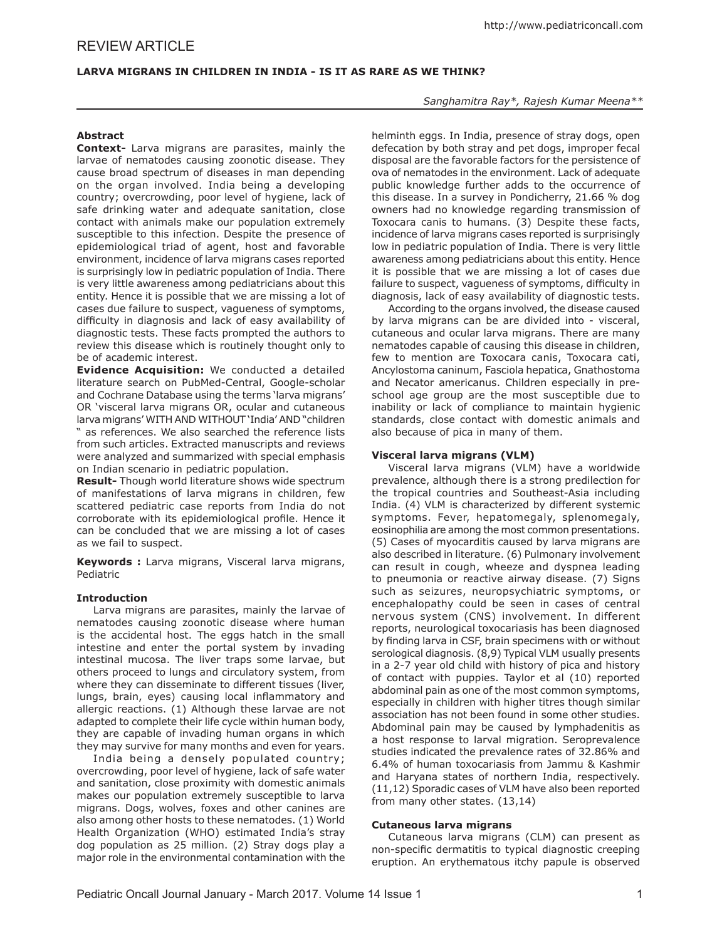## **LARVA MIGRANS IN CHILDREN IN INDIA - IS IT AS RARE AS WE THINK?**

#### *Sanghamitra Ray\*, Rajesh Kumar Meena\*\**

# **Abstract**

**Context-** Larva migrans are parasites, mainly the larvae of nematodes causing zoonotic disease. They cause broad spectrum of diseases in man depending on the organ involved. India being a developing country; overcrowding, poor level of hygiene, lack of safe drinking water and adequate sanitation, close contact with animals make our population extremely susceptible to this infection. Despite the presence of epidemiological triad of agent, host and favorable environment, incidence of larva migrans cases reported is surprisingly low in pediatric population of India. There is very little awareness among pediatricians about this entity. Hence it is possible that we are missing a lot of cases due failure to suspect, vagueness of symptoms, difficulty in diagnosis and lack of easy availability of diagnostic tests. These facts prompted the authors to review this disease which is routinely thought only to be of academic interest.

**Evidence Acquisition:** We conducted a detailed literature search on PubMed-Central, Google-scholar and Cochrane Database using the terms 'larva migrans' OR 'visceral larva migrans OR, ocular and cutaneous larva migrans' WITH AND WITHOUT 'India' AND "children " as references. We also searched the reference lists from such articles. Extracted manuscripts and reviews were analyzed and summarized with special emphasis on Indian scenario in pediatric population.

**Result-** Though world literature shows wide spectrum of manifestations of larva migrans in children, few scattered pediatric case reports from India do not corroborate with its epidemiological profile. Hence it can be concluded that we are missing a lot of cases as we fail to suspect.

**Keywords :** Larva migrans, Visceral larva migrans, Pediatric

#### **Introduction**

Larva migrans are parasites, mainly the larvae of nematodes causing zoonotic disease where human is the accidental host. The eggs hatch in the small intestine and enter the portal system by invading intestinal mucosa. The liver traps some larvae, but others proceed to lungs and circulatory system, from where they can disseminate to different tissues (liver, lungs, brain, eyes) causing local inflammatory and allergic reactions. (1) Although these larvae are not adapted to complete their life cycle within human body, they are capable of invading human organs in which they may survive for many months and even for years.

India being a densely populated country; overcrowding, poor level of hygiene, lack of safe water and sanitation, close proximity with domestic animals makes our population extremely susceptible to larva migrans. Dogs, wolves, foxes and other canines are also among other hosts to these nematodes. (1) World Health Organization (WHO) estimated India's stray dog population as 25 million. (2) Stray dogs play a major role in the environmental contamination with the helminth eggs. In India, presence of stray dogs, open defecation by both stray and pet dogs, improper fecal disposal are the favorable factors for the persistence of ova of nematodes in the environment. Lack of adequate public knowledge further adds to the occurrence of this disease. In a survey in Pondicherry, 21.66 % dog owners had no knowledge regarding transmission of Toxocara canis to humans. (3) Despite these facts, incidence of larva migrans cases reported is surprisingly low in pediatric population of India. There is very little awareness among pediatricians about this entity. Hence it is possible that we are missing a lot of cases due failure to suspect, vagueness of symptoms, difficulty in diagnosis, lack of easy availability of diagnostic tests.

According to the organs involved, the disease caused by larva migrans can be are divided into - visceral, cutaneous and ocular larva migrans. There are many nematodes capable of causing this disease in children, few to mention are Toxocara canis, Toxocara cati, Ancylostoma caninum, Fasciola hepatica, Gnathostoma and Necator americanus. Children especially in preschool age group are the most susceptible due to inability or lack of compliance to maintain hygienic standards, close contact with domestic animals and also because of pica in many of them.

#### **Visceral larva migrans (VLM)**

Visceral larva migrans (VLM) have a worldwide prevalence, although there is a strong predilection for the tropical countries and Southeast-Asia including India. (4) VLM is characterized by different systemic symptoms. Fever, hepatomegaly, splenomegaly, eosinophilia are among the most common presentations. (5) Cases of myocarditis caused by larva migrans are also described in literature. (6) Pulmonary involvement can result in cough, wheeze and dyspnea leading to pneumonia or reactive airway disease. (7) Signs such as seizures, neuropsychiatric symptoms, or encephalopathy could be seen in cases of central nervous system (CNS) involvement. In different reports, neurological toxocariasis has been diagnosed by finding larva in CSF, brain specimens with or without serological diagnosis. (8,9) Typical VLM usually presents in a 2-7 year old child with history of pica and history of contact with puppies. Taylor et al (10) reported abdominal pain as one of the most common symptoms, especially in children with higher titres though similar association has not been found in some other studies. Abdominal pain may be caused by lymphadenitis as a host response to larval migration. Seroprevalence studies indicated the prevalence rates of 32.86% and 6.4% of human toxocariasis from Jammu & Kashmir and Haryana states of northern India, respectively. (11,12) Sporadic cases of VLM have also been reported from many other states. (13,14)

### **Cutaneous larva migrans**

Cutaneous larva migrans (CLM) can present as non-specific dermatitis to typical diagnostic creeping eruption. An erythematous itchy papule is observed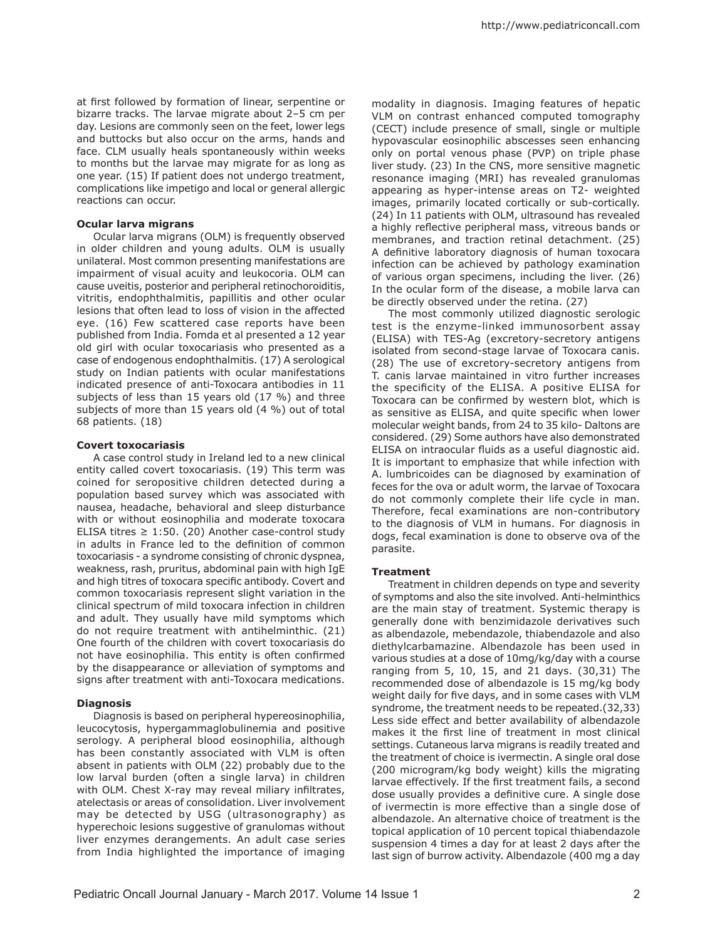at first followed by formation of linear, serpentine or bizarre tracks. The larvae migrate about 2–5 cm per day. Lesions are commonly seen on the feet, lower legs and buttocks but also occur on the arms, hands and face. CLM usually heals spontaneously within weeks to months but the larvae may migrate for as long as one year. (15) If patient does not undergo treatment, complications like impetigo and local or general allergic reactions can occur.

#### **Ocular larva migrans**

Ocular larva migrans (OLM) is frequently observed in older children and young adults. OLM is usually unilateral. Most common presenting manifestations are impairment of visual acuity and leukocoria. OLM can cause uveitis, posterior and peripheral retinochoroiditis, vitritis, endophthalmitis, papillitis and other ocular lesions that often lead to loss of vision in the affected eye. (16) Few scattered case reports have been published from India. Fomda et al presented a 12 year old girl with ocular toxocariasis who presented as a case of endogenous endophthalmitis. (17) A serological study on Indian patients with ocular manifestations indicated presence of anti-Toxocara antibodies in 11 subjects of less than 15 years old (17 %) and three subjects of more than 15 years old (4 %) out of total 68 patients. (18)

#### **Covert toxocariasis**

A case control study in Ireland led to a new clinical entity called covert toxocariasis. (19) This term was coined for seropositive children detected during a population based survey which was associated with nausea, headache, behavioral and sleep disturbance with or without eosinophilia and moderate toxocara ELISA titres  $\geq 1:50$ . (20) Another case-control study in adults in France led to the definition of common toxocariasis - a syndrome consisting of chronic dyspnea, weakness, rash, pruritus, abdominal pain with high IgE and high titres of toxocara specific antibody. Covert and common toxocariasis represent slight variation in the clinical spectrum of mild toxocara infection in children and adult. They usually have mild symptoms which do not require treatment with antihelminthic. (21) One fourth of the children with covert toxocariasis do not have eosinophilia. This entity is often confirmed by the disappearance or alleviation of symptoms and signs after treatment with anti-Toxocara medications.

### **Diagnosis**

Diagnosis is based on peripheral hypereosinophilia, leucocytosis, hypergammaglobulinemia and positive serology. A peripheral blood eosinophilia, although has been constantly associated with VLM is often absent in patients with OLM (22) probably due to the low larval burden (often a single larva) in children with OLM. Chest X-ray may reveal miliary infiltrates, atelectasis or areas of consolidation. Liver involvement may be detected by USG (ultrasonography) as hyperechoic lesions suggestive of granulomas without liver enzymes derangements. An adult case series from India highlighted the importance of imaging modality in diagnosis. Imaging features of hepatic VLM on contrast enhanced computed tomography (CECT) include presence of small, single or multiple hypovascular eosinophilic abscesses seen enhancing only on portal venous phase (PVP) on triple phase liver study. (23) In the CNS, more sensitive magnetic resonance imaging (MRI) has revealed granulomas appearing as hyper-intense areas on T2- weighted images, primarily located cortically or sub-cortically. (24) In 11 patients with OLM, ultrasound has revealed a highly reflective peripheral mass, vitreous bands or membranes, and traction retinal detachment. (25) A definitive laboratory diagnosis of human toxocara infection can be achieved by pathology examination of various organ specimens, including the liver. (26) In the ocular form of the disease, a mobile larva can be directly observed under the retina. (27)

The most commonly utilized diagnostic serologic test is the enzyme-linked immunosorbent assay (ELISA) with TES-Ag (excretory-secretory antigens isolated from second-stage larvae of Toxocara canis. (28) The use of excretory-secretory antigens from T. canis larvae maintained in vitro further increases the specificity of the ELISA. A positive ELISA for Toxocara can be confirmed by western blot, which is as sensitive as ELISA, and quite specific when lower molecular weight bands, from 24 to 35 kilo- Daltons are considered. (29) Some authors have also demonstrated ELISA on intraocular fluids as a useful diagnostic aid. It is important to emphasize that while infection with A. lumbricoides can be diagnosed by examination of feces for the ova or adult worm, the larvae of Toxocara do not commonly complete their life cycle in man. Therefore, fecal examinations are non-contributory to the diagnosis of VLM in humans. For diagnosis in dogs, fecal examination is done to observe ova of the parasite.

#### **Treatment**

Treatment in children depends on type and severity of symptoms and also the site involved. Anti-helminthics are the main stay of treatment. Systemic therapy is generally done with benzimidazole derivatives such as albendazole, mebendazole, thiabendazole and also diethylcarbamazine. Albendazole has been used in various studies at a dose of 10mg/kg/day with a course ranging from 5, 10, 15, and 21 days. (30,31) The recommended dose of albendazole is 15 mg/kg body weight daily for five days, and in some cases with VLM syndrome, the treatment needs to be repeated.(32,33) Less side effect and better availability of albendazole makes it the first line of treatment in most clinical settings. Cutaneous larva migrans is readily treated and the treatment of choice is ivermectin. A single oral dose (200 microgram/kg body weight) kills the migrating larvae effectively. If the first treatment fails, a second dose usually provides a definitive cure. A single dose of ivermectin is more effective than a single dose of albendazole. An alternative choice of treatment is the topical application of 10 percent topical thiabendazole suspension 4 times a day for at least 2 days after the last sign of burrow activity. Albendazole (400 mg a day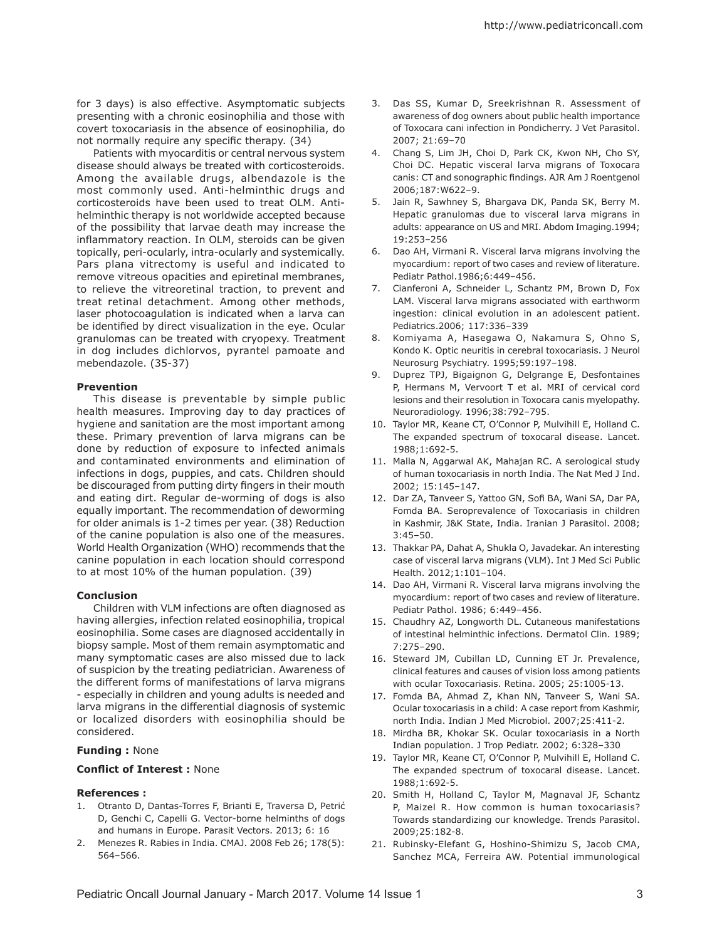for 3 days) is also effective. Asymptomatic subjects presenting with a chronic eosinophilia and those with covert toxocariasis in the absence of eosinophilia, do not normally require any specific therapy. (34)

Patients with myocarditis or central nervous system disease should always be treated with corticosteroids. Among the available drugs, albendazole is the most commonly used. Anti-helminthic drugs and corticosteroids have been used to treat OLM. Antihelminthic therapy is not worldwide accepted because of the possibility that larvae death may increase the inflammatory reaction. In OLM, steroids can be given topically, peri-ocularly, intra-ocularly and systemically. Pars plana vitrectomy is useful and indicated to remove vitreous opacities and epiretinal membranes, to relieve the vitreoretinal traction, to prevent and treat retinal detachment. Among other methods, laser photocoagulation is indicated when a larva can be identified by direct visualization in the eye. Ocular granulomas can be treated with cryopexy. Treatment in dog includes dichlorvos, pyrantel pamoate and mebendazole. (35-37)

### **Prevention**

This disease is preventable by simple public health measures. Improving day to day practices of hygiene and sanitation are the most important among these. Primary prevention of larva migrans can be done by reduction of exposure to infected animals and contaminated environments and elimination of infections in dogs, puppies, and cats. Children should be discouraged from putting dirty fingers in their mouth and eating dirt. Regular de-worming of dogs is also equally important. The recommendation of deworming for older animals is 1-2 times per year. (38) Reduction of the canine population is also one of the measures. World Health Organization (WHO) recommends that the canine population in each location should correspond to at most 10% of the human population. (39)

# **Conclusion**

Children with VLM infections are often diagnosed as having allergies, infection related eosinophilia, tropical eosinophilia. Some cases are diagnosed accidentally in biopsy sample. Most of them remain asymptomatic and many symptomatic cases are also missed due to lack of suspicion by the treating pediatrician. Awareness of the different forms of manifestations of larva migrans - especially in children and young adults is needed and larva migrans in the differential diagnosis of systemic or localized disorders with eosinophilia should be considered.

## **Funding :** None

## **Conflict of Interest :** None

# **References :**

- 1. Otranto D, Dantas-Torres F, Brianti E, Traversa D, Petrić D, Genchi C, Capelli G. Vector-borne helminths of dogs and humans in Europe. Parasit Vectors. 2013; 6: 16
- 2. Menezes R. Rabies in India. CMAJ. 2008 Feb 26; 178(5): 564–566.
- 3. Das SS, Kumar D, Sreekrishnan R. Assessment of awareness of dog owners about public health importance of Toxocara cani infection in Pondicherry. J Vet Parasitol. 2007; 21:69–70
- 4. Chang S, Lim JH, Choi D, Park CK, Kwon NH, Cho SY, Choi DC. Hepatic visceral larva migrans of Toxocara canis: CT and sonographic findings. AJR Am J Roentgenol 2006;187:W622–9.
- 5. Jain R, Sawhney S, Bhargava DK, Panda SK, Berry M. Hepatic granulomas due to visceral larva migrans in adults: appearance on US and MRI. Abdom Imaging.1994; 19:253–256
- 6. Dao AH, Virmani R. Visceral larva migrans involving the myocardium: report of two cases and review of literature. Pediatr Pathol.1986;6:449–456.
- 7. Cianferoni A, Schneider L, Schantz PM, Brown D, Fox LAM. Visceral larva migrans associated with earthworm ingestion: clinical evolution in an adolescent patient. Pediatrics.2006; 117:336–339
- 8. Komiyama A, Hasegawa O, Nakamura S, Ohno S, Kondo K. Optic neuritis in cerebral toxocariasis. J Neurol Neurosurg Psychiatry. 1995;59:197–198.
- 9. Duprez TPJ, Bigaignon G, Delgrange E, Desfontaines P, Hermans M, Vervoort T et al. MRI of cervical cord lesions and their resolution in Toxocara canis myelopathy. Neuroradiology. 1996;38:792–795.
- 10. Taylor MR, Keane CT, O'Connor P, Mulvihill E, Holland C. The expanded spectrum of toxocaral disease. Lancet. 1988;1:692-5.
- 11. Malla N, Aggarwal AK, Mahajan RC. A serological study of human toxocariasis in north India. The Nat Med J Ind. 2002; 15:145–147.
- 12. Dar ZA, Tanveer S, Yattoo GN, Sofi BA, Wani SA, Dar PA, Fomda BA. Seroprevalence of Toxocariasis in children in Kashmir, J&K State, India. Iranian J Parasitol. 2008; 3:45–50.
- 13. Thakkar PA, Dahat A, Shukla O, Javadekar. An interesting case of visceral larva migrans (VLM). Int J Med Sci Public Health. 2012;1:101–104.
- 14. Dao AH, Virmani R. Visceral larva migrans involving the myocardium: report of two cases and review of literature. Pediatr Pathol. 1986; 6:449–456.
- 15. Chaudhry AZ, Longworth DL. Cutaneous manifestations of intestinal helminthic infections. Dermatol Clin. 1989; 7:275–290.
- 16. Steward JM, Cubillan LD, Cunning ET Jr. Prevalence, clinical features and causes of vision loss among patients with ocular Toxocariasis. Retina. 2005; 25:1005-13.
- 17. Fomda BA, Ahmad Z, Khan NN, Tanveer S, Wani SA. Ocular toxocariasis in a child: A case report from Kashmir, north India. Indian J Med Microbiol. 2007;25:411-2.
- 18. Mirdha BR, Khokar SK. Ocular toxocariasis in a North Indian population. J Trop Pediatr. 2002; 6:328–330
- 19. Taylor MR, Keane CT, O'Connor P, Mulvihill E, Holland C. The expanded spectrum of toxocaral disease. Lancet. 1988;1:692-5.
- 20. Smith H, Holland C, Taylor M, Magnaval JF, Schantz P, Maizel R. How common is human toxocariasis? Towards standardizing our knowledge. Trends Parasitol. 2009;25:182-8.
- 21. Rubinsky-Elefant G, Hoshino-Shimizu S, Jacob CMA, Sanchez MCA, Ferreira AW. Potential immunological